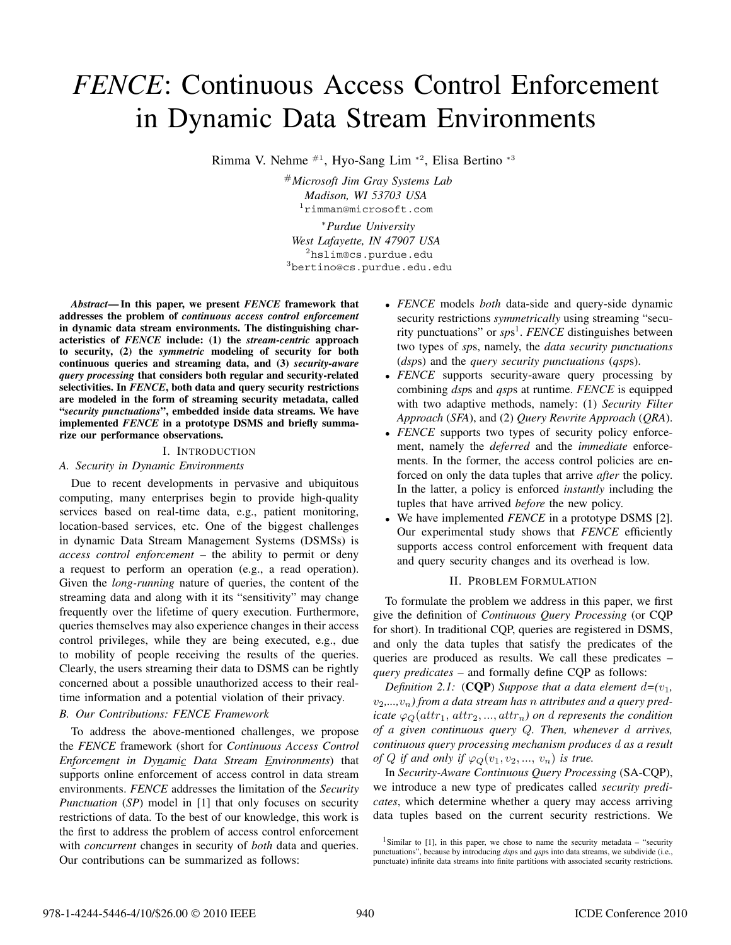# *FENCE*: Continuous Access Control Enforcement in Dynamic Data Stream Environments

Rimma V. Nehme #1, Hyo-Sang Lim <sup>∗</sup><sup>2</sup>, Elisa Bertino <sup>∗</sup><sup>3</sup>

#*Microsoft Jim Gray Systems Lab Madison, WI 53703 USA* <sup>1</sup>rimman@microsoft.com

∗*Purdue University West Lafayette, IN 47907 USA* <sup>2</sup>hslim@cs.purdue.edu  $^3$ bertino@cs.purdue.edu.edu

*Abstract***— In this paper, we present** *FENCE* **framework that addresses the problem of** *continuous access control enforcement* **in dynamic data stream environments. The distinguishing characteristics of** *FENCE* **include: (1) the** *stream-centric* **approach to security, (2) the** *symmetric* **modeling of security for both continuous queries and streaming data, and (3)** *security-aware query processing* **that considers both regular and security-related selectivities. In** *FENCE***, both data and query security restrictions are modeled in the form of streaming security metadata, called "***security punctuations***", embedded inside data streams. We have implemented** *FENCE* **in a prototype DSMS and briefly summarize our performance observations.**

# I. INTRODUCTION

# *A. Security in Dynamic Environments*

Due to recent developments in pervasive and ubiquitous computing, many enterprises begin to provide high-quality services based on real-time data, e.g., patient monitoring, location-based services, etc. One of the biggest challenges in dynamic Data Stream Management Systems (DSMSs) is *access control enforcement* – the ability to permit or deny a request to perform an operation (e.g., a read operation). Given the *long-running* nature of queries, the content of the streaming data and along with it its "sensitivity" may change frequently over the lifetime of query execution. Furthermore, queries themselves may also experience changes in their access control privileges, while they are being executed, e.g., due to mobility of people receiving the results of the queries. Clearly, the users streaming their data to DSMS can be rightly concerned about a possible unauthorized access to their realtime information and a potential violation of their privacy.

## *B. Our Contributions: FENCE Framework*

To address the above-mentioned challenges, we propose the *FENCE* framework (short for *Continuous Access Control Enforcement in Dynamic Data Stream Environments*) that supports online enforcement of access control in data stream environments. *FENCE* addresses the limitation of the *Security Punctuation* (*SP*) model in [1] that only focuses on security restrictions of data. To the best of our knowledge, this work is the first to address the problem of access control enforcement with *concurrent* changes in security of *both* data and queries. Our contributions can be summarized as follows:

- *FENCE* models *both* data-side and query-side dynamic security restrictions *symmetrically* using streaming "security punctuations" or *sps*<sup>1</sup>. *FENCE* distinguishes between two types of *sp*s, namely, the *data security punctuations* (*dsp*s) and the *query security punctuations* (*qsp*s).
- *FENCE* supports security-aware query processing by combining *dsp*s and *qsp*s at runtime. *FENCE* is equipped with two adaptive methods, namely: (1) *Security Filter Approach* (*SFA*), and (2) *Query Rewrite Approach* (*QRA*).
- *FENCE* supports two types of security policy enforcement, namely the *deferred* and the *immediate* enforcements. In the former, the access control policies are enforced on only the data tuples that arrive *after* the policy. In the latter, a policy is enforced *instantly* including the tuples that have arrived *before* the new policy.
- We have implemented *FENCE* in a prototype DSMS [2]. Our experimental study shows that *FENCE* efficiently supports access control enforcement with frequent data and query security changes and its overhead is low.

## II. PROBLEM FORMULATION

To formulate the problem we address in this paper, we first give the definition of *Continuous Query Processing* (or CQP for short). In traditional CQP, queries are registered in DSMS, and only the data tuples that satisfy the predicates of the queries are produced as results. We call these predicates – *query predicates* – and formally define CQP as follows:

*Definition 2.1:* (**CQP**) *Suppose that a data element*  $d=(v_1, v_2)$ v2*,...,*vn*) from a data stream has* n *attributes and a query predicate*  $\varphi_{\mathcal{O}}(attr_1, attr_2, ..., attr_n)$  *on d represents the condition of a given continuous query* Q*. Then, whenever* d *arrives, continuous query processing mechanism produces* d *as a result of* Q *if and only if*  $\varphi_{Q}(v_1, v_2, ..., v_n)$  *is true.* 

In *Security-Aware Continuous Query Processing* (SA-CQP), we introduce a new type of predicates called *security predicates*, which determine whether a query may access arriving data tuples based on the current security restrictions. We

<sup>&</sup>lt;sup>1</sup>Similar to [1], in this paper, we chose to name the security metadata – "security" punctuations", because by introducing *dsp*s and *qsp*s into data streams, we subdivide (i.e., punctuate) infinite data streams into finite partitions with associated security restrictions.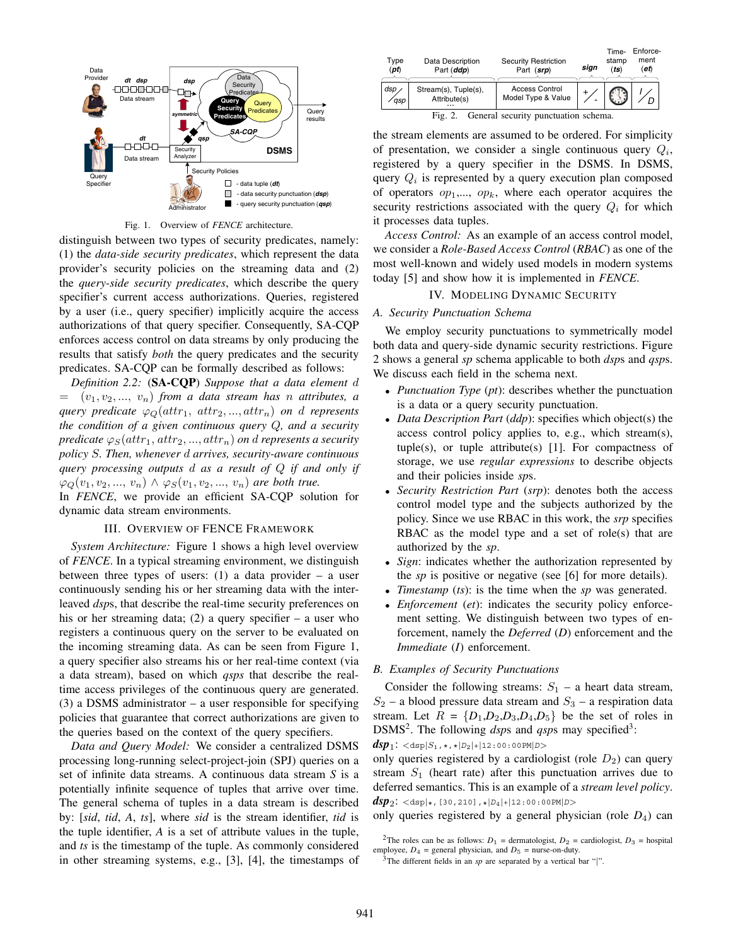

Fig. 1. Overview of *FENCE* architecture.

distinguish between two types of security predicates, namely: (1) the *data-side security predicates*, which represent the data provider's security policies on the streaming data and (2) the *query-side security predicates*, which describe the query specifier's current access authorizations. Queries, registered by a user (i.e., query specifier) implicitly acquire the access authorizations of that query specifier. Consequently, SA-CQP enforces access control on data streams by only producing the results that satisfy *both* the query predicates and the security predicates. SA-CQP can be formally described as follows:

*Definition 2.2:* (**SA-CQP**) *Suppose that a data element* d  $=$   $(v_1, v_2, ..., v_n)$  *from a data stream has n attributes, a query predicate*  $\varphi_{Q}(attr_1, attr_2, ..., attr_n)$  *on d represents the condition of a given continuous query* Q*, and a security predicate*  $\varphi_S(attr_1, attr_2, ..., attr_n)$  *on d represents a security policy* S*. Then, whenever* d *arrives, security-aware continuous query processing outputs* d *as a result of* Q *if and only if*  $\varphi_Q(v_1, v_2, ..., v_n)$  ∧  $\varphi_S(v_1, v_2, ..., v_n)$  *are both true.* 

In *FENCE*, we provide an efficient SA-CQP solution for dynamic data stream environments.

#### III. OVERVIEW OF FENCE FRAMEWORK

*System Architecture:* Figure 1 shows a high level overview of *FENCE*. In a typical streaming environment, we distinguish between three types of users: (1) a data provider  $-$  a user continuously sending his or her streaming data with the interleaved *dsp*s, that describe the real-time security preferences on his or her streaming data; (2) a query specifier – a user who registers a continuous query on the server to be evaluated on the incoming streaming data. As can be seen from Figure 1, a query specifier also streams his or her real-time context (via a data stream), based on which *qsps* that describe the realtime access privileges of the continuous query are generated. (3) a DSMS administrator – a user responsible for specifying policies that guarantee that correct authorizations are given to the queries based on the context of the query specifiers.

*Data and Query Model:* We consider a centralized DSMS processing long-running select-project-join (SPJ) queries on a set of infinite data streams. A continuous data stream *S* is a potentially infinite sequence of tuples that arrive over time. The general schema of tuples in a data stream is described by: [*sid*, *tid*, *A*, *ts*], where *sid* is the stream identifier, *tid* is the tuple identifier, *A* is a set of attribute values in the tuple, and *ts* is the timestamp of the tuple. As commonly considered in other streaming systems, e.g., [3], [4], the timestamps of



the stream elements are assumed to be ordered. For simplicity of presentation, we consider a single continuous query  $Q_i$ , registered by a query specifier in the DSMS. In DSMS, query  $Q_i$  is represented by a query execution plan composed of operators  $op_1,..., op_k$ , where each operator acquires the security restrictions associated with the query  $Q_i$  for which it processes data tuples.

*Access Control:* As an example of an access control model, we consider a *Role-Based Access Control* (*RBAC*) as one of the most well-known and widely used models in modern systems today [5] and show how it is implemented in *FENCE*.

# IV. MODELING DYNAMIC SECURITY

## *A. Security Punctuation Schema*

We employ security punctuations to symmetrically model both data and query-side dynamic security restrictions. Figure 2 shows a general *sp* schema applicable to both *dsp*s and *qsp*s. We discuss each field in the schema next.

- *Punctuation Type* (*pt*): describes whether the punctuation is a data or a query security punctuation.
- *Data Description Part* (*ddp*): specifies which object(s) the access control policy applies to, e.g., which stream(s),  $tuple(s),$  or tuple attribute $(s)$  [1]. For compactness of storage, we use *regular expressions* to describe objects and their policies inside *sp*s.
- *Security Restriction Part* (*srp*): denotes both the access control model type and the subjects authorized by the policy. Since we use RBAC in this work, the *srp* specifies RBAC as the model type and a set of role(s) that are authorized by the *sp*.
- *Sign*: indicates whether the authorization represented by the *sp* is positive or negative (see [6] for more details).
- *Timestamp* (*ts*): is the time when the *sp* was generated.
- *Enforcement* (*et*): indicates the security policy enforcement setting. We distinguish between two types of enforcement, namely the *Deferred* (*D*) enforcement and the *Immediate* (*I*) enforcement.

## *B. Examples of Security Punctuations*

Consider the following streams:  $S_1$  – a heart data stream,  $S_2$  – a blood pressure data stream and  $S_3$  – a respiration data stream. Let  $R = \{D_1, D_2, D_3, D_4, D_5\}$  be the set of roles in  $DSMS<sup>2</sup>$ . The following *dsps* and *qsps* may specified<sup>3</sup>:

 $dsp_1$ :  $\langle \text{dsp}|S_1$ ,  $\star$ ,  $\star|D_2|$ +|12:00:00PM|D>

only queries registered by a cardiologist (role  $D_2$ ) can query stream  $S_1$  (heart rate) after this punctuation arrives due to deferred semantics. This is an example of a *stream level policy*.  $\emph{dsp}_2$ : <dsp|\*,[30,210],\*|D<sub>4</sub>|+|12:00:00PM|D>

only queries registered by a general physician (role  $D_4$ ) can

<sup>&</sup>lt;sup>2</sup>The roles can be as follows:  $D_1$  = dermatologist,  $D_2$  = cardiologist,  $D_3$  = hospital employee,  $D_4$  = general physician, and  $D_5$  = nurse-on-duty.

<sup>&</sup>lt;sup>3</sup>The different fields in an *sp* are separated by a vertical bar "|".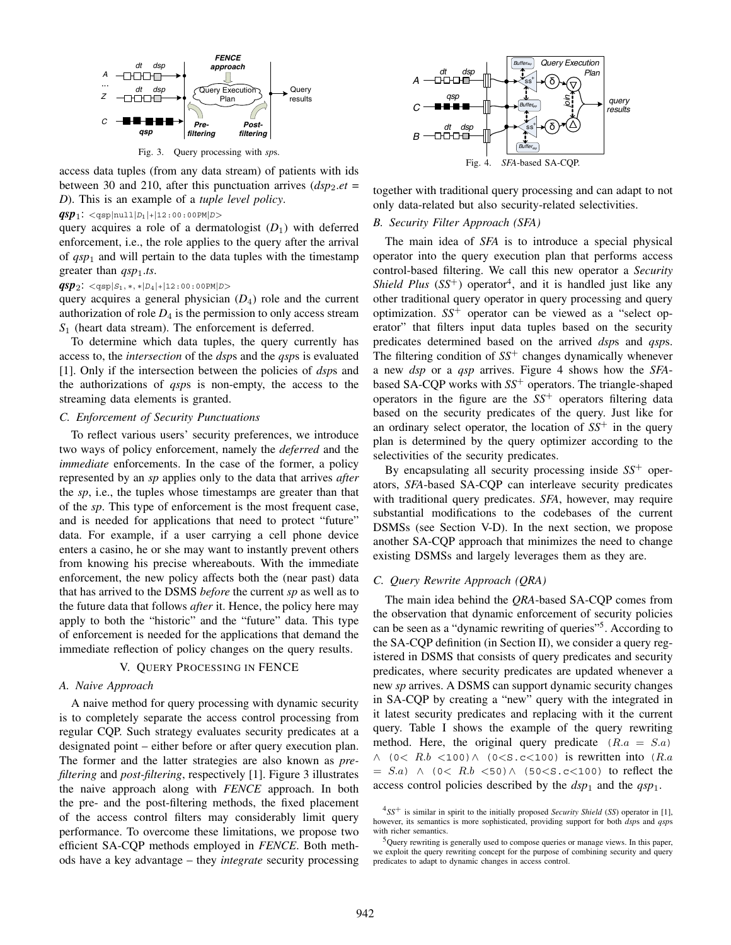

access data tuples (from any data stream) of patients with ids between 30 and 210, after this punctuation arrives  $(dsp<sub>2</sub>.et =$ *D*). This is an example of a *tuple level policy*.

#### $\bm{qsp}_1$ : <qsp|null|D<sub>1</sub>|+|12:00:00PM|D>

query acquires a role of a dermatologist  $(D_1)$  with deferred enforcement, i.e., the role applies to the query after the arrival of *qsp*<sup>1</sup> and will pertain to the data tuples with the timestamp greater than *qsp*1.*ts*.

#### $\bm{qsp}_2$ : <qsp|S<sub>1</sub>, \*, \*|D<sub>4</sub>|+|12:00:00PM|D>

query acquires a general physician ( $D_4$ ) role and the current authorization of role  $D_4$  is the permission to only access stream *S*<sup>1</sup> (heart data stream). The enforcement is deferred.

To determine which data tuples, the query currently has access to, the *intersection* of the *dsp*s and the *qsp*s is evaluated [1]. Only if the intersection between the policies of *dsp*s and the authorizations of *qsp*s is non-empty, the access to the streaming data elements is granted.

#### *C. Enforcement of Security Punctuations*

To reflect various users' security preferences, we introduce two ways of policy enforcement, namely the *deferred* and the *immediate* enforcements. In the case of the former, a policy represented by an *sp* applies only to the data that arrives *after* the *sp*, i.e., the tuples whose timestamps are greater than that of the *sp*. This type of enforcement is the most frequent case, and is needed for applications that need to protect "future" data. For example, if a user carrying a cell phone device enters a casino, he or she may want to instantly prevent others from knowing his precise whereabouts. With the immediate enforcement, the new policy affects both the (near past) data that has arrived to the DSMS *before* the current *sp* as well as to the future data that follows *after* it. Hence, the policy here may apply to both the "historic" and the "future" data. This type of enforcement is needed for the applications that demand the immediate reflection of policy changes on the query results.

## V. QUERY PROCESSING IN FENCE

# *A. Naive Approach*

A naive method for query processing with dynamic security is to completely separate the access control processing from regular CQP. Such strategy evaluates security predicates at a designated point – either before or after query execution plan. The former and the latter strategies are also known as *prefiltering* and *post-filtering*, respectively [1]. Figure 3 illustrates the naive approach along with *FENCE* approach. In both the pre- and the post-filtering methods, the fixed placement of the access control filters may considerably limit query performance. To overcome these limitations, we propose two efficient SA-CQP methods employed in *FENCE*. Both methods have a key advantage – they *integrate* security processing



together with traditional query processing and can adapt to not only data-related but also security-related selectivities.

## *B. Security Filter Approach (SFA)*

The main idea of *SFA* is to introduce a special physical operator into the query execution plan that performs access control-based filtering. We call this new operator a *Security Shield Plus*  $(SS^+)$  operator<sup>4</sup>, and it is handled just like any other traditional query operator in query processing and query optimization. *SS*<sup>+</sup> operator can be viewed as a "select operator" that filters input data tuples based on the security predicates determined based on the arrived *dsp*s and *qsp*s. The filtering condition of  $SS^+$  changes dynamically whenever a new *dsp* or a *qsp* arrives. Figure 4 shows how the *SFA*based SA-CQP works with  $SS^+$  operators. The triangle-shaped operators in the figure are the *SS*<sup>+</sup> operators filtering data based on the security predicates of the query. Just like for an ordinary select operator, the location of  $SS^+$  in the query plan is determined by the query optimizer according to the selectivities of the security predicates.

By encapsulating all security processing inside *SS*<sup>+</sup> operators, *SFA*-based SA-CQP can interleave security predicates with traditional query predicates. *SFA*, however, may require substantial modifications to the codebases of the current DSMSs (see Section V-D). In the next section, we propose another SA-CQP approach that minimizes the need to change existing DSMSs and largely leverages them as they are.

# *C. Query Rewrite Approach (QRA)*

The main idea behind the *QRA*-based SA-CQP comes from the observation that dynamic enforcement of security policies can be seen as a "dynamic rewriting of queries"5. According to the SA-CQP definition (in Section II), we consider a query registered in DSMS that consists of query predicates and security predicates, where security predicates are updated whenever a new *sp* arrives. A DSMS can support dynamic security changes in SA-CQP by creating a "new" query with the integrated in it latest security predicates and replacing with it the current query. Table I shows the example of the query rewriting method. Here, the original query predicate  $(R.a = Sa)$ ∧ (0< R.b <100)∧ (0<S.c<100) is rewritten into (R.a  $= S.a$ )  $\land$  (0<  $R.b$  <50) $\land$  (50 <  $s$ . c < 100) to reflect the access control policies described by the  $dsp_1$  and the  $qsp_1$ .

<sup>4</sup>*SS*<sup>+</sup> is similar in spirit to the initially proposed *Security Shield* (*SS*) operator in [1], however, its semantics is more sophisticated, providing support for both *dsp*s and *qsp*s with richer semantics.

<sup>5</sup>Query rewriting is generally used to compose queries or manage views. In this paper, we exploit the query rewriting concept for the purpose of combining security and query predicates to adapt to dynamic changes in access control.